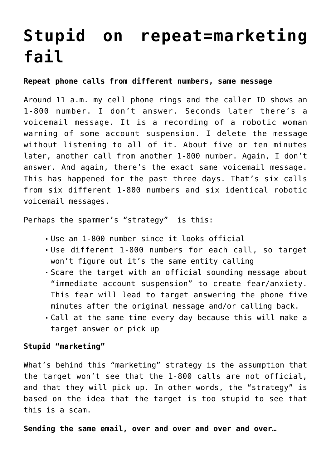## **[Stupid on repeat=marketing](https://deborahbrody.com/2019/09/stupid-on-repeatmarketing-fail/) [fail](https://deborahbrody.com/2019/09/stupid-on-repeatmarketing-fail/)**

## **Repeat phone calls from different numbers, same message**

Around 11 a.m. my cell phone rings and the caller ID shows an 1-800 number. I don't answer. Seconds later there's a voicemail message. It is a recording of a robotic woman warning of some account suspension. I delete the message without listening to all of it. About five or ten minutes later, another call from another 1-800 number. Again, I don't answer. And again, there's the exact same voicemail message. This has happened for the past three days. That's six calls from six different 1-800 numbers and six identical robotic voicemail messages.

Perhaps the spammer's "strategy" is this:

- Use an 1-800 number since it looks official
- Use different 1-800 numbers for each call, so target won't figure out it's the same entity calling
- Scare the target with an official sounding message about "immediate account suspension" to create fear/anxiety. This fear will lead to target answering the phone five minutes after the original message and/or calling back.
- Call at the same time every day because this will make a target answer or pick up

## **Stupid "marketing"**

What's behind this "marketing" strategy is the assumption that the target won't see that the 1-800 calls are not official, and that they will pick up. In other words, the "strategy" is based on the idea that the target is too stupid to see that this is a scam.

**Sending the same email, over and over and over and over…**